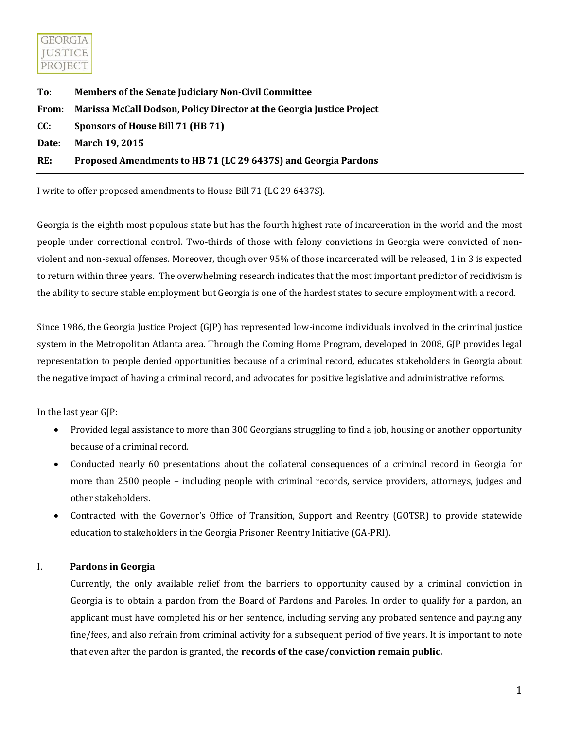

| To:   | <b>Members of the Senate Judiciary Non-Civil Committee</b>            |
|-------|-----------------------------------------------------------------------|
| From: | Marissa McCall Dodson, Policy Director at the Georgia Justice Project |
| CC:   | Sponsors of House Bill 71 (HB 71)                                     |
| Date: | March 19, 2015                                                        |
| RE:   | Proposed Amendments to HB 71 (LC 29 6437S) and Georgia Pardons        |
|       |                                                                       |

I write to offer proposed amendments to House Bill 71 (LC 29 6437S).

Georgia is the [eighth most populous state](http://www.census.gov/newsroom/press-releases/2014/cb14-232.html) but has the [fourth highest rate of incarceration in the world](http://www.prisonpolicy.org/global/) and the [most](http://www.washingtonpost.com/blogs/govbeat/wp/2014/12/31/state-prison-populations-down-to-lowest-point-in-a-decade/)  [people under correctional control.](http://www.washingtonpost.com/blogs/govbeat/wp/2014/12/31/state-prison-populations-down-to-lowest-point-in-a-decade/) [Two-thirds](http://www.dcor.state.ga.us/Research/Annual/Profile_inmate_releases_CY2014.pdf) of those with felony convictions in Georgia were convicted of nonviolent and non-sexual offenses. Moreover, though ove[r 95% of those incarcerated will be released,](http://www.dcor.state.ga.us/Divisions/Corrections/Reentry.html) [1 in 3 is expected](http://www.legis.ga.gov/documents/GaCouncilReport-FINALDRAFT.pdf)  [to return within three years.](http://www.legis.ga.gov/documents/GaCouncilReport-FINALDRAFT.pdf) The overwhelming research indicates that th[e most important predictor of recidivism is](https://fas.org/sgp/crs/misc/RL34287.pdf)  [the ability to secure stable employment](https://fas.org/sgp/crs/misc/RL34287.pdf) but Georgia is [one of the hardest states to secure employment](http://www.lac.org/roadblocks-to-reentry/upload/reportcards/12_Image_Georgia%20final.pdf) with a record.

Since 1986, the Georgia Justice Project (GJP) has represented low-income individuals involved in the criminal justice system in the Metropolitan Atlanta area. Through the Coming Home Program, developed in 2008, GJP provides legal representation to people denied opportunities because of a criminal record, educates stakeholders in Georgia about the negative impact of having a criminal record, and advocates for positive legislative and administrative reforms.

In the last year GJP:

- Provided legal assistance to more than 300 Georgians struggling to find a job, housing or another opportunity because of a criminal record.
- Conducted nearly 60 presentations about the collateral consequences of a criminal record in Georgia for more than 2500 people – including people with criminal records, service providers, attorneys, judges and other stakeholders.
- Contracted with the Governor's Office of Transition, Support and Reentry (GOTSR) to provide statewide education to stakeholders in the Georgia Prisoner Reentry Initiative (GA-PRI).

## I. **Pardons in Georgia**

Currently, the only available relief from the barriers to opportunity caused by a criminal conviction in Georgia is to obtain a pardon from the Board of Pardons and Paroles. In order to qualify for a pardon, an applicant must have completed his or her sentence, including serving any probated sentence and paying any fine/fees, and also refrain from criminal activity for a subsequent period of five years. It is important to note that even after the pardon is granted, the **records of the case/conviction remain public.**